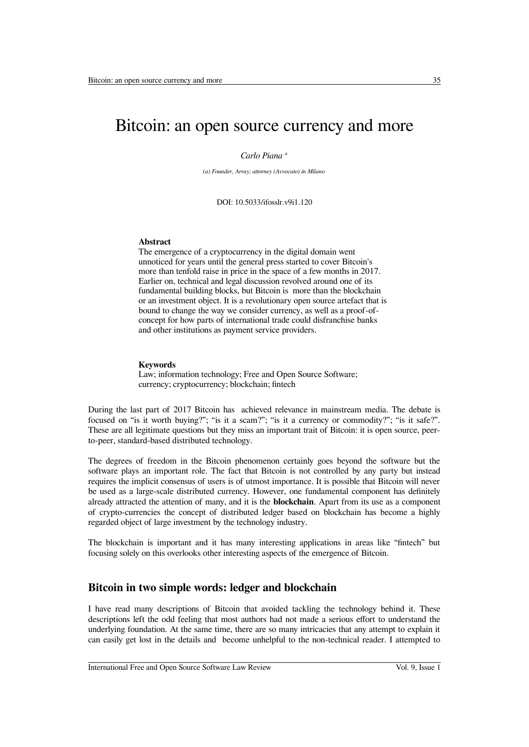# Bitcoin: an open source currency and more

#### *Carlo Piana <sup>a</sup>*

*(a) Founder, Array; attorney (Avvocato) in Milano*

DOI: 10.5033/ifosslr.v9i1.120

#### **Abstract**

The emergence of a cryptocurrency in the digital domain went unnoticed for years until the general press started to cover Bitcoin's more than tenfold raise in price in the space of a few months in 2017. Earlier on, technical and legal discussion revolved around one of its fundamental building blocks, but Bitcoin is more than the blockchain or an investment object. It is a revolutionary open source artefact that is bound to change the way we consider currency, as well as a proof-ofconcept for how parts of international trade could disfranchise banks and other institutions as payment service providers.

#### **Keywords**

Law; information technology; Free and Open Source Software; currency; cryptocurrency; blockchain; fntech

During the last part of 2017 Bitcoin has achieved relevance in mainstream media. The debate is focused on "is it worth buying?"; "is it a scam?"; "is it a currency or commodity?"; "is it safe?". These are all legitimate questions but they miss an important trait of Bitcoin: it is open source, peerto-peer, standard-based distributed technology.

The degrees of freedom in the Bitcoin phenomenon certainly goes beyond the software but the software plays an important role. The fact that Bitcoin is not controlled by any party but instead requires the implicit consensus of users is of utmost importance. It is possible that Bitcoin will never be used as a large-scale distributed currency. However, one fundamental component has defnitely already attracted the attention of many, and it is the **blockchain**. Apart from its use as a component of crypto-currencies the concept of distributed ledger based on blockchain has become a highly regarded object of large investment by the technology industry.

The blockchain is important and it has many interesting applications in areas like "fntech" but focusing solely on this overlooks other interesting aspects of the emergence of Bitcoin.

#### **Bitcoin in two simple words: ledger and blockchain**

I have read many descriptions of Bitcoin that avoided tackling the technology behind it. These descriptions left the odd feeling that most authors had not made a serious efort to understand the underlying foundation. At the same time, there are so many intricacies that any attempt to explain it can easily get lost in the details and become unhelpful to the non-technical reader. I attempted to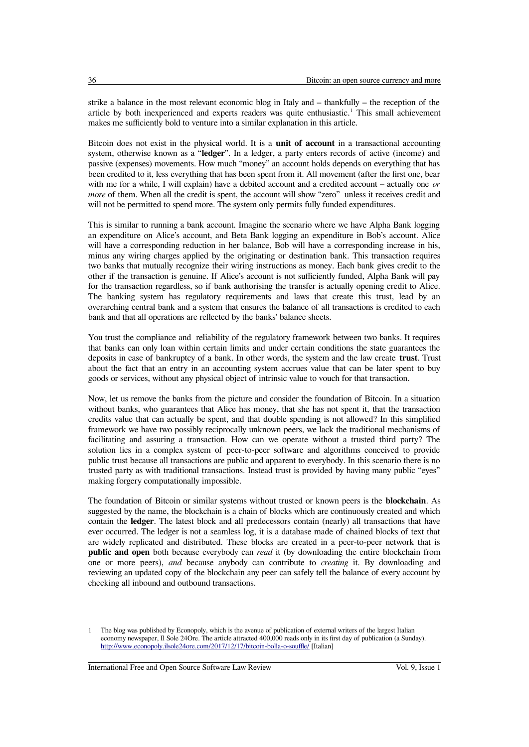strike a balance in the most relevant economic blog in Italy and  $-$  thankfully  $-$  the reception of the article by both inexperienced and experts readers was quite enthusiastic.<sup>[1](#page-1-0)</sup> This small achievement makes me sufficiently bold to venture into a similar explanation in this article.

Bitcoin does not exist in the physical world. It is a **unit of account** in a transactional accounting system, otherwise known as a "**ledger**". In a ledger, a party enters records of active (income) and passive (expenses) movements. How much "money" an account holds depends on everything that has been credited to it, less everything that has been spent from it. All movement (after the frst one, bear with me for a while, I will explain) have a debited account and a credited account – actually one *or more* of them. When all the credit is spent, the account will show "zero" unless it receives credit and will not be permitted to spend more. The system only permits fully funded expenditures.

This is similar to running a bank account. Imagine the scenario where we have Alpha Bank logging an expenditure on Alice's account, and Beta Bank logging an expenditure in Bob's account. Alice will have a corresponding reduction in her balance, Bob will have a corresponding increase in his, minus any wiring charges applied by the originating or destination bank. This transaction requires two banks that mutually recognize their wiring instructions as money. Each bank gives credit to the other if the transaction is genuine. If Alice's account is not sufficiently funded, Alpha Bank will pay for the transaction regardless, so if bank authorising the transfer is actually opening credit to Alice. The banking system has regulatory requirements and laws that create this trust, lead by an overarching central bank and a system that ensures the balance of all transactions is credited to each bank and that all operations are refected by the banks' balance sheets.

You trust the compliance and reliability of the regulatory framework between two banks. It requires that banks can only loan within certain limits and under certain conditions the state guarantees the deposits in case of bankruptcy of a bank. In other words, the system and the law create **trust**. Trust about the fact that an entry in an accounting system accrues value that can be later spent to buy goods or services, without any physical object of intrinsic value to vouch for that transaction.

Now, let us remove the banks from the picture and consider the foundation of Bitcoin. In a situation without banks, who guarantees that Alice has money, that she has not spent it, that the transaction credits value that can actually be spent, and that double spending is not allowed? In this simplifed framework we have two possibly reciprocally unknown peers, we lack the traditional mechanisms of facilitating and assuring a transaction. How can we operate without a trusted third party? The solution lies in a complex system of peer-to-peer software and algorithms conceived to provide public trust because all transactions are public and apparent to everybody. In this scenario there is no trusted party as with traditional transactions. Instead trust is provided by having many public "eyes" making forgery computationally impossible.

The foundation of Bitcoin or similar systems without trusted or known peers is the **blockchain**. As suggested by the name, the blockchain is a chain of blocks which are continuously created and which contain the **ledger**. The latest block and all predecessors contain (nearly) all transactions that have ever occurred. The ledger is not a seamless log, it is a database made of chained blocks of text that are widely replicated and distributed. These blocks are created in a peer-to-peer network that is **public and open** both because everybody can *read* it (by downloading the entire blockchain from one or more peers), *and* because anybody can contribute to *creating* it. By downloading and reviewing an updated copy of the blockchain any peer can safely tell the balance of every account by checking all inbound and outbound transactions.

<span id="page-1-0"></span><sup>1</sup> The blog was published by Econopoly, which is the avenue of publication of external writers of the largest Italian economy newspaper, Il Sole 24Ore. The article attracted 400,000 reads only in its frst day of publication (a Sunday). http://www.econopoly.ilsole24ore.com/2017/12/17/bitcoin-bolla-o-souffle/ [Italian]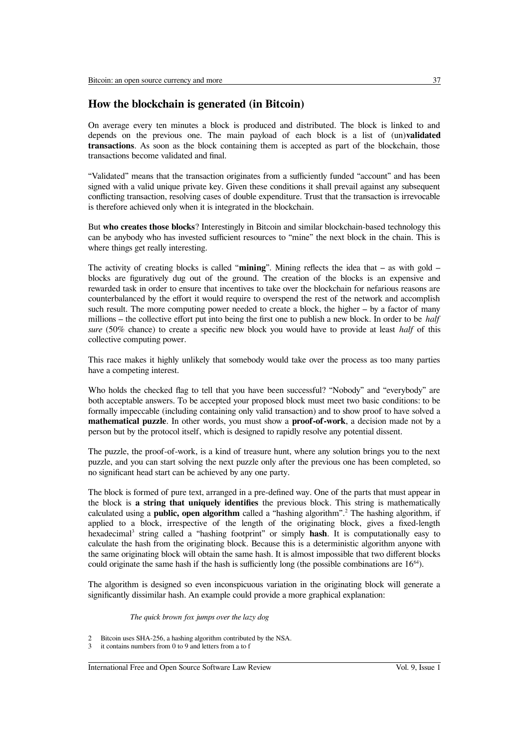### **How the blockchain is generated (in Bitcoin)**

On average every ten minutes a block is produced and distributed. The block is linked to and depends on the previous one. The main payload of each block is a list of (un)**validated transactions**. As soon as the block containing them is accepted as part of the blockchain, those transactions become validated and fnal.

"Validated" means that the transaction originates from a sufficiently funded "account" and has been signed with a valid unique private key. Given these conditions it shall prevail against any subsequent conficting transaction, resolving cases of double expenditure. Trust that the transaction is irrevocable is therefore achieved only when it is integrated in the blockchain.

But **who creates those blocks**? Interestingly in Bitcoin and similar blockchain-based technology this can be anybody who has invested sufficient resources to "mine" the next block in the chain. This is where things get really interesting.

The activity of creating blocks is called "**mining**". Mining reflects the idea that – as with gold – blocks are fguratively dug out of the ground. The creation of the blocks is an expensive and rewarded task in order to ensure that incentives to take over the blockchain for nefarious reasons are counterbalanced by the efort it would require to overspend the rest of the network and accomplish such result. The more computing power needed to create a block, the higher  $-$  by a factor of many millions – the collective effort put into being the first one to publish a new block. In order to be *half sure* (50% chance) to create a specifc new block you would have to provide at least *half* of this collective computing power.

This race makes it highly unlikely that somebody would take over the process as too many parties have a competing interest.

Who holds the checked fag to tell that you have been successful? "Nobody" and "everybody" are both acceptable answers. To be accepted your proposed block must meet two basic conditions: to be formally impeccable (including containing only valid transaction) and to show proof to have solved a **mathematical puzzle**. In other words, you must show a **proof-of-work**, a decision made not by a person but by the protocol itself, which is designed to rapidly resolve any potential dissent.

The puzzle, the proof-of-work, is a kind of treasure hunt, where any solution brings you to the next puzzle, and you can start solving the next puzzle only after the previous one has been completed, so no signifcant head start can be achieved by any one party.

The block is formed of pure text, arranged in a pre-defned way. One of the parts that must appear in the block is **a string that uniquely identifes** the previous block. This string is mathematically calculated using a **public, open algorithm** called a "hashing algorithm".<sup>[2](#page-2-0)</sup> The hashing algorithm, if applied to a block, irrespective of the length of the originating block, gives a fxed-length hexadecimal[3](#page-2-1) string called a "hashing footprint" or simply **hash**. It is computationally easy to calculate the hash from the originating block. Because this is a deterministic algorithm anyone with the same originating block will obtain the same hash. It is almost impossible that two diferent blocks could originate the same hash if the hash is sufficiently long (the possible combinations are  $16^{64}$ ).

The algorithm is designed so even inconspicuous variation in the originating block will generate a signifcantly dissimilar hash. An example could provide a more graphical explanation:

#### *The quick brown fox jumps over the lazy dog*

International Free and Open Source Software Law Review Vol. 9, Issue 1

<span id="page-2-0"></span><sup>2</sup> Bitcoin uses SHA-256, a hashing algorithm contributed by the NSA.

<span id="page-2-1"></span>it contains numbers from 0 to 9 and letters from a to f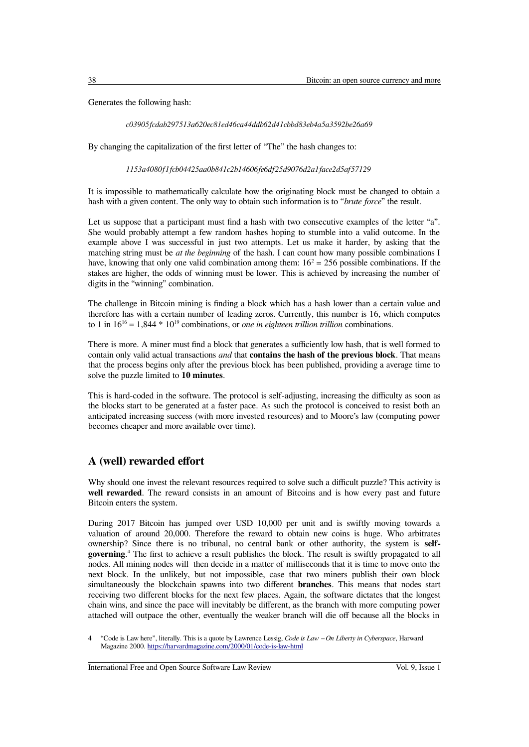Generates the following hash:

*c03905fcdab297513a620ec81ed46ca44ddb62d41cbbd83eb4a5a3592be26a69*

By changing the capitalization of the frst letter of "The" the hash changes to:

*1153a4080f1fcb04425aa0b841c2b14606fe6df25d9076d2a1face2d5af57129*

It is impossible to mathematically calculate how the originating block must be changed to obtain a hash with a given content. The only way to obtain such information is to "*brute force*" the result.

Let us suppose that a participant must find a hash with two consecutive examples of the letter "a". She would probably attempt a few random hashes hoping to stumble into a valid outcome. In the example above I was successful in just two attempts. Let us make it harder, by asking that the matching string must be *at the beginning* of the hash. I can count how many possible combinations I have, knowing that only one valid combination among them:  $16<sup>2</sup> = 256$  possible combinations. If the stakes are higher, the odds of winning must be lower. This is achieved by increasing the number of digits in the "winning" combination.

The challenge in Bitcoin mining is fnding a block which has a hash lower than a certain value and therefore has with a certain number of leading zeros. Currently, this number is 16, which computes to 1 in  $16^{16} = 1,844 * 10^{19}$  combinations, or *one in eighteen trillion trillion* combinations.

There is more. A miner must find a block that generates a sufficiently low hash, that is well formed to contain only valid actual transactions *and* that **contains the hash of the previous block**. That means that the process begins only after the previous block has been published, providing a average time to solve the puzzle limited to **10 minutes**.

This is hard-coded in the software. The protocol is self-adjusting, increasing the difficulty as soon as the blocks start to be generated at a faster pace. As such the protocol is conceived to resist both an anticipated increasing success (with more invested resources) and to Moore's law (computing power becomes cheaper and more available over time).

### **A (well) rewarded efort**

Why should one invest the relevant resources required to solve such a difficult puzzle? This activity is **well rewarded**. The reward consists in an amount of Bitcoins and is how every past and future Bitcoin enters the system.

During 2017 Bitcoin has jumped over USD 10,000 per unit and is swiftly moving towards a valuation of around 20,000. Therefore the reward to obtain new coins is huge. Who arbitrates ownership? Since there is no tribunal, no central bank or other authority, the system is **selfgoverning**.<sup>[4](#page-3-0)</sup> The first to achieve a result publishes the block. The result is swiftly propagated to all nodes. All mining nodes will then decide in a matter of milliseconds that it is time to move onto the next block. In the unlikely, but not impossible, case that two miners publish their own block simultaneously the blockchain spawns into two diferent **branches**. This means that nodes start receiving two diferent blocks for the next few places. Again, the software dictates that the longest chain wins, and since the pace will inevitably be diferent, as the branch with more computing power attached will outpace the other, eventually the weaker branch will die off because all the blocks in

International Free and Open Source Software Law Review Vol. 9, Issue 1

<span id="page-3-0"></span><sup>4</sup> "Code is Law here", literally. This is a quote by Lawrence Lessig, *Code is Law ‒ On Liberty in Cyberspace*, Harward Magazine 2000.<https://harvardmagazine.com/2000/01/code-is-law-html>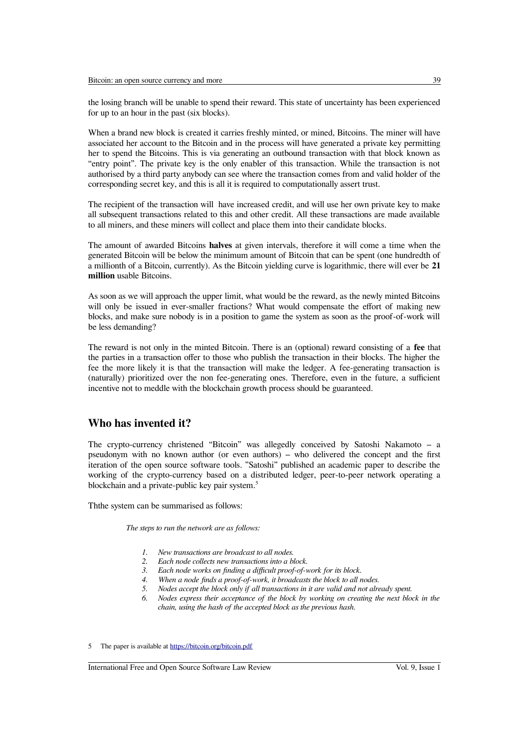the losing branch will be unable to spend their reward. This state of uncertainty has been experienced for up to an hour in the past (six blocks).

When a brand new block is created it carries freshly minted, or mined, Bitcoins. The miner will have associated her account to the Bitcoin and in the process will have generated a private key permitting her to spend the Bitcoins. This is via generating an outbound transaction with that block known as "entry point". The private key is the only enabler of this transaction. While the transaction is not authorised by a third party anybody can see where the transaction comes from and valid holder of the corresponding secret key, and this is all it is required to computationally assert trust.

The recipient of the transaction will have increased credit, and will use her own private key to make all subsequent transactions related to this and other credit. All these transactions are made available to all miners, and these miners will collect and place them into their candidate blocks.

The amount of awarded Bitcoins **halves** at given intervals, therefore it will come a time when the generated Bitcoin will be below the minimum amount of Bitcoin that can be spent (one hundredth of a millionth of a Bitcoin, currently). As the Bitcoin yielding curve is logarithmic, there will ever be **21 million** usable Bitcoins.

As soon as we will approach the upper limit, what would be the reward, as the newly minted Bitcoins will only be issued in ever-smaller fractions? What would compensate the effort of making new blocks, and make sure nobody is in a position to game the system as soon as the proof-of-work will be less demanding?

The reward is not only in the minted Bitcoin. There is an (optional) reward consisting of a **fee** that the parties in a transaction ofer to those who publish the transaction in their blocks. The higher the fee the more likely it is that the transaction will make the ledger. A fee-generating transaction is (naturally) prioritized over the non fee-generating ones. Therefore, even in the future, a sufficient incentive not to meddle with the blockchain growth process should be guaranteed.

### **Who has invented it?**

The crypto-currency christened "Bitcoin" was allegedly conceived by Satoshi Nakamoto  $-$  a pseudonym with no known author (or even authors) – who delivered the concept and the first iteration of the open source software tools. "Satoshi" published an academic paper to describe the working of the crypto-currency based on a distributed ledger, peer-to-peer network operating a blockchain and a private-public key pair system.<sup>[5](#page-4-0)</sup>

Ththe system can be summarised as follows:

*The steps to run the network are as follows:* 

- *1. New transactions are broadcast to all nodes.*
- *2. Each node collects new transactions into a block.*
- 3. Each node works on finding a difficult proof-of-work for its block.
- 4. When a node finds a proof-of-work, it broadcasts the block to all nodes.
- *5. Nodes accept the block only if all transactions in it are valid and not already spent.*
- *6. Nodes express their acceptance of the block by working on creating the next block in the chain, using the hash of the accepted block as the previous hash.*

<span id="page-4-0"></span>5 The paper is available at<https://bitcoin.org/bitcoin.pdf>

International Free and Open Source Software Law Review Vol. 9, Issue 1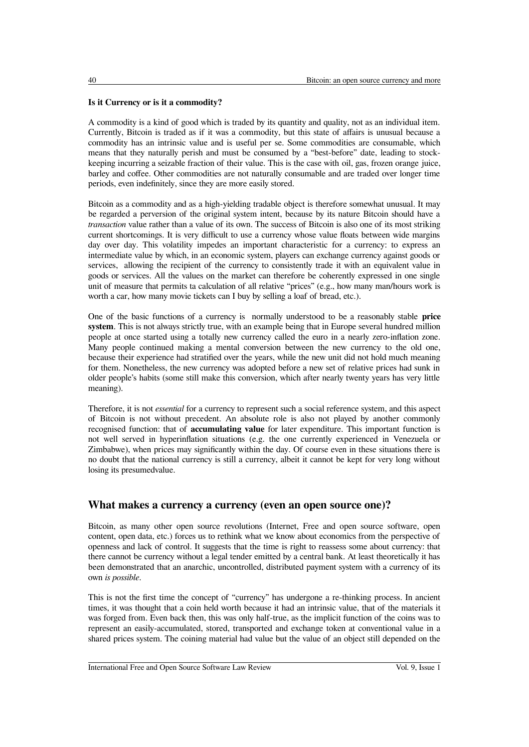#### **Is it Currency or is it a commodity?**

A commodity is a kind of good which is traded by its quantity and quality, not as an individual item. Currently, Bitcoin is traded as if it was a commodity, but this state of afairs is unusual because a commodity has an intrinsic value and is useful per se. Some commodities are consumable, which means that they naturally perish and must be consumed by a "best-before" date, leading to stockkeeping incurring a seizable fraction of their value. This is the case with oil, gas, frozen orange juice, barley and cofee. Other commodities are not naturally consumable and are traded over longer time periods, even indefnitely, since they are more easily stored.

Bitcoin as a commodity and as a high-yielding tradable object is therefore somewhat unusual. It may be regarded a perversion of the original system intent, because by its nature Bitcoin should have a *transaction* value rather than a value of its own. The success of Bitcoin is also one of its most striking current shortcomings. It is very difficult to use a currency whose value floats between wide margins day over day. This volatility impedes an important characteristic for a currency: to express an intermediate value by which, in an economic system, players can exchange currency against goods or services, allowing the recipient of the currency to consistently trade it with an equivalent value in goods or services. All the values on the market can therefore be coherently expressed in one single unit of measure that permits ta calculation of all relative "prices" (e.g., how many man/hours work is worth a car, how many movie tickets can I buy by selling a loaf of bread, etc.).

One of the basic functions of a currency is normally understood to be a reasonably stable **price system**. This is not always strictly true, with an example being that in Europe several hundred million people at once started using a totally new currency called the euro in a nearly zero-infation zone. Many people continued making a mental conversion between the new currency to the old one, because their experience had stratifed over the years, while the new unit did not hold much meaning for them. Nonetheless, the new currency was adopted before a new set of relative prices had sunk in older people's habits (some still make this conversion, which after nearly twenty years has very little meaning).

Therefore, it is not *essential* for a currency to represent such a social reference system, and this aspect of Bitcoin is not without precedent. An absolute role is also not played by another commonly recognised function: that of **accumulating value** for later expenditure. This important function is not well served in hyperinfation situations (e.g. the one currently experienced in Venezuela or Zimbabwe), when prices may signifcantly within the day. Of course even in these situations there is no doubt that the national currency is still a currency, albeit it cannot be kept for very long without losing its presumedvalue.

#### **What makes a currency a currency (even an open source one)?**

Bitcoin, as many other open source revolutions (Internet, Free and open source software, open content, open data, etc.) forces us to rethink what we know about economics from the perspective of openness and lack of control. It suggests that the time is right to reassess some about currency: that there cannot be currency without a legal tender emitted by a central bank. At least theoretically it has been demonstrated that an anarchic, uncontrolled, distributed payment system with a currency of its own *is possible*.

This is not the frst time the concept of "currency" has undergone a re-thinking process. In ancient times, it was thought that a coin held worth because it had an intrinsic value, that of the materials it was forged from. Even back then, this was only half-true, as the implicit function of the coins was to represent an easily-accumulated, stored, transported and exchange token at conventional value in a shared prices system. The coining material had value but the value of an object still depended on the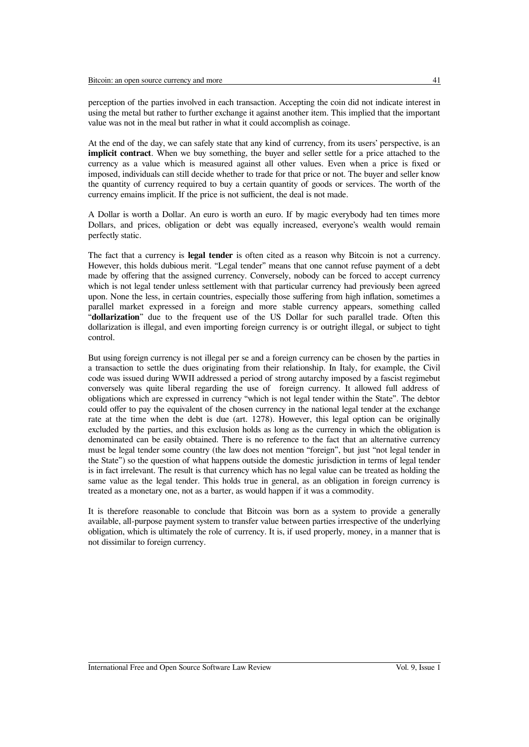perception of the parties involved in each transaction. Accepting the coin did not indicate interest in using the metal but rather to further exchange it against another item. This implied that the important value was not in the meal but rather in what it could accomplish as coinage.

At the end of the day, we can safely state that any kind of currency, from its users' perspective, is an **implicit contract**. When we buy something, the buyer and seller settle for a price attached to the currency as a value which is measured against all other values. Even when a price is fxed or imposed, individuals can still decide whether to trade for that price or not. The buyer and seller know the quantity of currency required to buy a certain quantity of goods or services. The worth of the currency emains implicit. If the price is not sufficient, the deal is not made.

A Dollar is worth a Dollar. An euro is worth an euro. If by magic everybody had ten times more Dollars, and prices, obligation or debt was equally increased, everyone's wealth would remain perfectly static.

The fact that a currency is **legal tender** is often cited as a reason why Bitcoin is not a currency. However, this holds dubious merit. "Legal tender" means that one cannot refuse payment of a debt made by ofering that the assigned currency. Conversely, nobody can be forced to accept currency which is not legal tender unless settlement with that particular currency had previously been agreed upon. None the less, in certain countries, especially those sufering from high infation, sometimes a parallel market expressed in a foreign and more stable currency appears, something called "**dollarization**" due to the frequent use of the US Dollar for such parallel trade. Often this dollarization is illegal, and even importing foreign currency is or outright illegal, or subject to tight control.

But using foreign currency is not illegal per se and a foreign currency can be chosen by the parties in a transaction to settle the dues originating from their relationship. In Italy, for example, the Civil code was issued during WWII addressed a period of strong autarchy imposed by a fascist regimebut conversely was quite liberal regarding the use of foreign currency. It allowed full address of obligations which are expressed in currency "which is not legal tender within the State". The debtor could offer to pay the equivalent of the chosen currency in the national legal tender at the exchange rate at the time when the debt is due (art. 1278). However, this legal option can be originally excluded by the parties, and this exclusion holds as long as the currency in which the obligation is denominated can be easily obtained. There is no reference to the fact that an alternative currency must be legal tender some country (the law does not mention "foreign", but just "not legal tender in the State") so the question of what happens outside the domestic jurisdiction in terms of legal tender is in fact irrelevant. The result is that currency which has no legal value can be treated as holding the same value as the legal tender. This holds true in general, as an obligation in foreign currency is treated as a monetary one, not as a barter, as would happen if it was a commodity.

It is therefore reasonable to conclude that Bitcoin was born as a system to provide a generally available, all-purpose payment system to transfer value between parties irrespective of the underlying obligation, which is ultimately the role of currency. It is, if used properly, money, in a manner that is not dissimilar to foreign currency.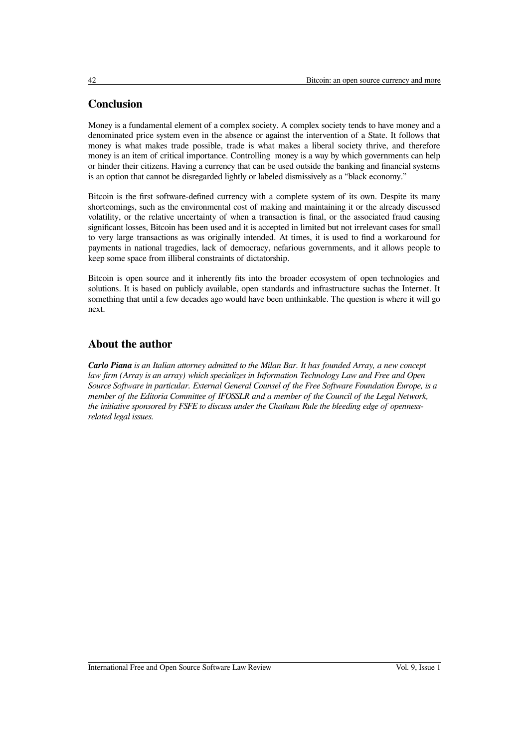# **Conclusion**

Money is a fundamental element of a complex society. A complex society tends to have money and a denominated price system even in the absence or against the intervention of a State. It follows that money is what makes trade possible, trade is what makes a liberal society thrive, and therefore money is an item of critical importance. Controlling money is a way by which governments can help or hinder their citizens. Having a currency that can be used outside the banking and fnancial systems is an option that cannot be disregarded lightly or labeled dismissively as a "black economy."

Bitcoin is the frst software-defned currency with a complete system of its own. Despite its many shortcomings, such as the environmental cost of making and maintaining it or the already discussed volatility, or the relative uncertainty of when a transaction is fnal, or the associated fraud causing signifcant losses, Bitcoin has been used and it is accepted in limited but not irrelevant cases for small to very large transactions as was originally intended. At times, it is used to fnd a workaround for payments in national tragedies, lack of democracy, nefarious governments, and it allows people to keep some space from illiberal constraints of dictatorship.

Bitcoin is open source and it inherently fts into the broader ecosystem of open technologies and solutions. It is based on publicly available, open standards and infrastructure suchas the Internet. It something that until a few decades ago would have been unthinkable. The question is where it will go next.

# **About the author**

*Carlo Piana is an Italian attorney admitted to the Milan Bar. It has founded Array, a new concept law frm (Array is an array) which specializes in Information Technology Law and Free and Open Source Software in particular. External General Counsel of the Free Software Foundation Europe, is a member of the Editoria Committee of IFOSSLR and a member of the Council of the Legal Network, the initiative sponsored by FSFE to discuss under the Chatham Rule the bleeding edge of opennessrelated legal issues.*